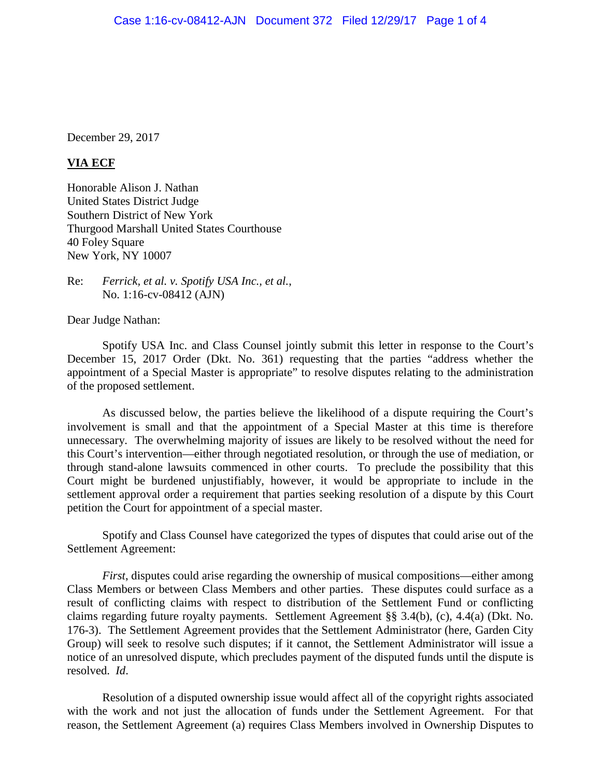December 29, 2017

## **VIA ECF**

Honorable Alison J. Nathan United States District Judge Southern District of New York Thurgood Marshall United States Courthouse 40 Foley Square New York, NY 10007

Re: *Ferrick, et al. v. Spotify USA Inc., et al.*, No. 1:16-cv-08412 (AJN)

Dear Judge Nathan:

Spotify USA Inc. and Class Counsel jointly submit this letter in response to the Court's December 15, 2017 Order (Dkt. No. 361) requesting that the parties "address whether the appointment of a Special Master is appropriate" to resolve disputes relating to the administration of the proposed settlement.

As discussed below, the parties believe the likelihood of a dispute requiring the Court's involvement is small and that the appointment of a Special Master at this time is therefore unnecessary. The overwhelming majority of issues are likely to be resolved without the need for this Court's intervention—either through negotiated resolution, or through the use of mediation, or through stand-alone lawsuits commenced in other courts. To preclude the possibility that this Court might be burdened unjustifiably, however, it would be appropriate to include in the settlement approval order a requirement that parties seeking resolution of a dispute by this Court petition the Court for appointment of a special master.

Spotify and Class Counsel have categorized the types of disputes that could arise out of the Settlement Agreement:

*First*, disputes could arise regarding the ownership of musical compositions—either among Class Members or between Class Members and other parties. These disputes could surface as a result of conflicting claims with respect to distribution of the Settlement Fund or conflicting claims regarding future royalty payments. Settlement Agreement §§ 3.4(b), (c), 4.4(a) (Dkt. No. 176-3). The Settlement Agreement provides that the Settlement Administrator (here, Garden City Group) will seek to resolve such disputes; if it cannot, the Settlement Administrator will issue a notice of an unresolved dispute, which precludes payment of the disputed funds until the dispute is resolved. *Id*.

Resolution of a disputed ownership issue would affect all of the copyright rights associated with the work and not just the allocation of funds under the Settlement Agreement. For that reason, the Settlement Agreement (a) requires Class Members involved in Ownership Disputes to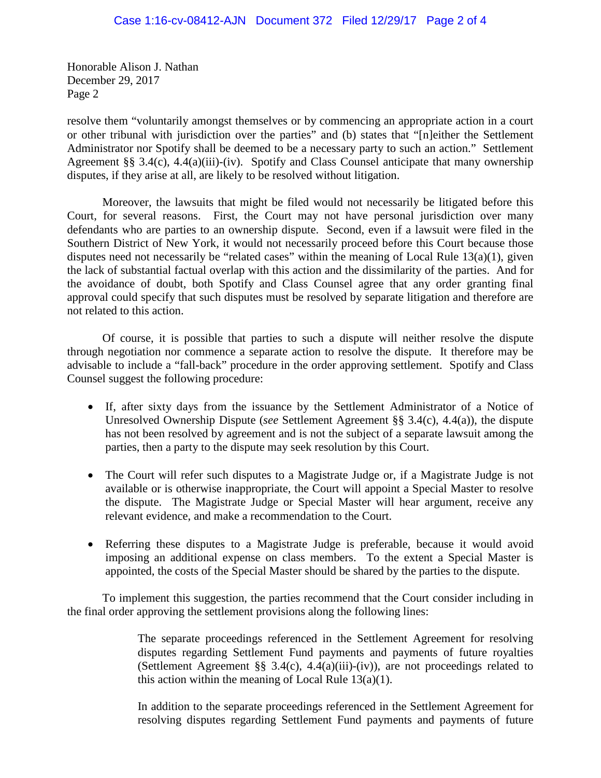Honorable Alison J. Nathan December 29, 2017 Page 2

resolve them "voluntarily amongst themselves or by commencing an appropriate action in a court or other tribunal with jurisdiction over the parties" and (b) states that "[n]either the Settlement Administrator nor Spotify shall be deemed to be a necessary party to such an action." Settlement Agreement §§ 3.4(c), 4.4(a)(iii)-(iv). Spotify and Class Counsel anticipate that many ownership disputes, if they arise at all, are likely to be resolved without litigation.

Moreover, the lawsuits that might be filed would not necessarily be litigated before this Court, for several reasons. First, the Court may not have personal jurisdiction over many defendants who are parties to an ownership dispute. Second, even if a lawsuit were filed in the Southern District of New York, it would not necessarily proceed before this Court because those disputes need not necessarily be "related cases" within the meaning of Local Rule 13(a)(1), given the lack of substantial factual overlap with this action and the dissimilarity of the parties. And for the avoidance of doubt, both Spotify and Class Counsel agree that any order granting final approval could specify that such disputes must be resolved by separate litigation and therefore are not related to this action.

Of course, it is possible that parties to such a dispute will neither resolve the dispute through negotiation nor commence a separate action to resolve the dispute. It therefore may be advisable to include a "fall-back" procedure in the order approving settlement. Spotify and Class Counsel suggest the following procedure:

- If, after sixty days from the issuance by the Settlement Administrator of a Notice of Unresolved Ownership Dispute (*see* Settlement Agreement §§ 3.4(c), 4.4(a)), the dispute has not been resolved by agreement and is not the subject of a separate lawsuit among the parties, then a party to the dispute may seek resolution by this Court.
- The Court will refer such disputes to a Magistrate Judge or, if a Magistrate Judge is not available or is otherwise inappropriate, the Court will appoint a Special Master to resolve the dispute. The Magistrate Judge or Special Master will hear argument, receive any relevant evidence, and make a recommendation to the Court.
- Referring these disputes to a Magistrate Judge is preferable, because it would avoid imposing an additional expense on class members. To the extent a Special Master is appointed, the costs of the Special Master should be shared by the parties to the dispute.

To implement this suggestion, the parties recommend that the Court consider including in the final order approving the settlement provisions along the following lines:

> The separate proceedings referenced in the Settlement Agreement for resolving disputes regarding Settlement Fund payments and payments of future royalties (Settlement Agreement §§ 3.4(c), 4.4(a)(iii)-(iv)), are not proceedings related to this action within the meaning of Local Rule  $13(a)(1)$ .

> In addition to the separate proceedings referenced in the Settlement Agreement for resolving disputes regarding Settlement Fund payments and payments of future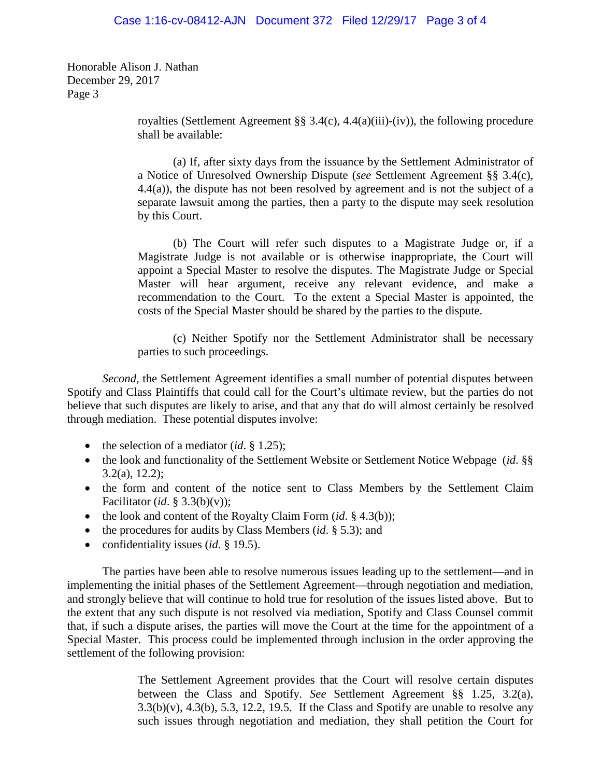Honorable Alison J. Nathan December 29, 2017 Page 3

> royalties (Settlement Agreement §§ 3.4(c), 4.4(a)(iii)-(iv)), the following procedure shall be available:

> (a) If, after sixty days from the issuance by the Settlement Administrator of a Notice of Unresolved Ownership Dispute (*see* Settlement Agreement §§ 3.4(c), 4.4(a)), the dispute has not been resolved by agreement and is not the subject of a separate lawsuit among the parties, then a party to the dispute may seek resolution by this Court.

> (b) The Court will refer such disputes to a Magistrate Judge or, if a Magistrate Judge is not available or is otherwise inappropriate, the Court will appoint a Special Master to resolve the disputes. The Magistrate Judge or Special Master will hear argument, receive any relevant evidence, and make a recommendation to the Court. To the extent a Special Master is appointed, the costs of the Special Master should be shared by the parties to the dispute.

> (c) Neither Spotify nor the Settlement Administrator shall be necessary parties to such proceedings.

*Second*, the Settlement Agreement identifies a small number of potential disputes between Spotify and Class Plaintiffs that could call for the Court's ultimate review, but the parties do not believe that such disputes are likely to arise, and that any that do will almost certainly be resolved through mediation. These potential disputes involve:

- the selection of a mediator (*id*. § 1.25);
- the look and functionality of the Settlement Website or Settlement Notice Webpage (*id.* §§ 3.2(a), 12.2);
- the form and content of the notice sent to Class Members by the Settlement Claim Facilitator (*id*. § 3.3(b)(v));
- the look and content of the Royalty Claim Form *(id.* § 4.3(b));
- the procedures for audits by Class Members (*id*. § 5.3); and
- confidentiality issues (*id*. § 19.5).

The parties have been able to resolve numerous issues leading up to the settlement—and in implementing the initial phases of the Settlement Agreement—through negotiation and mediation, and strongly believe that will continue to hold true for resolution of the issues listed above. But to the extent that any such dispute is not resolved via mediation, Spotify and Class Counsel commit that, if such a dispute arises, the parties will move the Court at the time for the appointment of a Special Master. This process could be implemented through inclusion in the order approving the settlement of the following provision:

> The Settlement Agreement provides that the Court will resolve certain disputes between the Class and Spotify. *See* Settlement Agreement §§ 1.25, 3.2(a),  $3.3(b)(v)$ ,  $4.3(b)$ ,  $5.3$ ,  $12.2$ ,  $19.5$ . If the Class and Spotify are unable to resolve any such issues through negotiation and mediation, they shall petition the Court for